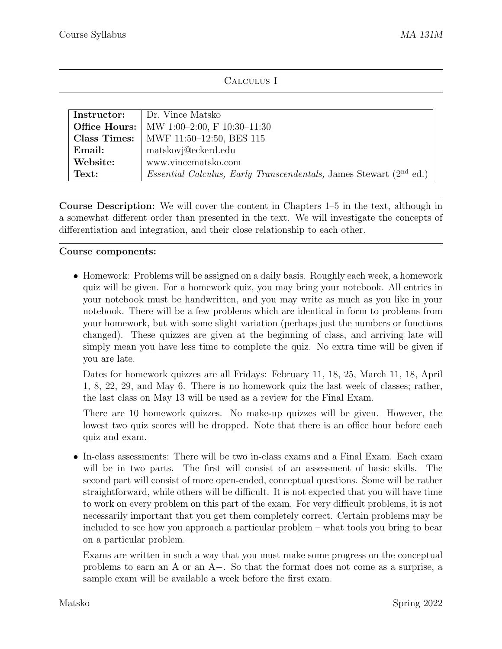## Calculus I

| <b>Instructor:</b> | Dr. Vince Matsko                                                                     |
|--------------------|--------------------------------------------------------------------------------------|
|                    | <b>Office Hours:</b>   MW 1:00-2:00, F 10:30-11:30                                   |
|                    | <b>Class Times:</b> MWF $11:50-12:50$ , BES 115                                      |
| Email:             | matskovj@eckerd.edu                                                                  |
| Website:           | www.vincematsko.com                                                                  |
| Text:              | <i>Essential Calculus, Early Transcendentals, James Stewart (2<sup>nd</sup> ed.)</i> |

Course Description: We will cover the content in Chapters 1–5 in the text, although in a somewhat different order than presented in the text. We will investigate the concepts of differentiation and integration, and their close relationship to each other.

## Course components:

• Homework: Problems will be assigned on a daily basis. Roughly each week, a homework quiz will be given. For a homework quiz, you may bring your notebook. All entries in your notebook must be handwritten, and you may write as much as you like in your notebook. There will be a few problems which are identical in form to problems from your homework, but with some slight variation (perhaps just the numbers or functions changed). These quizzes are given at the beginning of class, and arriving late will simply mean you have less time to complete the quiz. No extra time will be given if you are late.

Dates for homework quizzes are all Fridays: February 11, 18, 25, March 11, 18, April 1, 8, 22, 29, and May 6. There is no homework quiz the last week of classes; rather, the last class on May 13 will be used as a review for the Final Exam.

There are 10 homework quizzes. No make-up quizzes will be given. However, the lowest two quiz scores will be dropped. Note that there is an office hour before each quiz and exam.

• In-class assessments: There will be two in-class exams and a Final Exam. Each exam will be in two parts. The first will consist of an assessment of basic skills. The second part will consist of more open-ended, conceptual questions. Some will be rather straightforward, while others will be difficult. It is not expected that you will have time to work on every problem on this part of the exam. For very difficult problems, it is not necessarily important that you get them completely correct. Certain problems may be included to see how you approach a particular problem – what tools you bring to bear on a particular problem.

Exams are written in such a way that you must make some progress on the conceptual problems to earn an A or an  $A-$ . So that the format does not come as a surprise, a sample exam will be available a week before the first exam.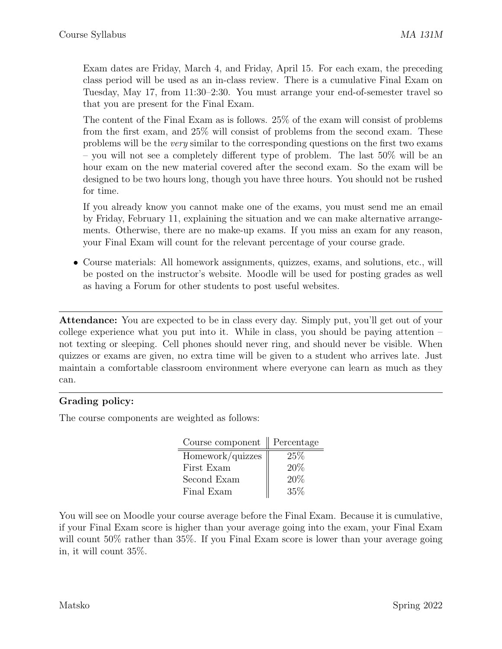Exam dates are Friday, March 4, and Friday, April 15. For each exam, the preceding class period will be used as an in-class review. There is a cumulative Final Exam on Tuesday, May 17, from 11:30–2:30. You must arrange your end-of-semester travel so that you are present for the Final Exam.

The content of the Final Exam as is follows. 25% of the exam will consist of problems from the first exam, and 25% will consist of problems from the second exam. These problems will be the *very* similar to the corresponding questions on the first two exams – you will not see a completely different type of problem. The last  $50\%$  will be an hour exam on the new material covered after the second exam. So the exam will be designed to be two hours long, though you have three hours. You should not be rushed for time.

If you already know you cannot make one of the exams, you must send me an email by Friday, February 11, explaining the situation and we can make alternative arrangements. Otherwise, there are no make-up exams. If you miss an exam for any reason, your Final Exam will count for the relevant percentage of your course grade.

*•* Course materials: All homework assignments, quizzes, exams, and solutions, etc., will be posted on the instructor's website. Moodle will be used for posting grades as well as having a Forum for other students to post useful websites.

Attendance: You are expected to be in class every day. Simply put, you'll get out of your college experience what you put into it. While in class, you should be paying attention – not texting or sleeping. Cell phones should never ring, and should never be visible. When quizzes or exams are given, no extra time will be given to a student who arrives late. Just maintain a comfortable classroom environment where everyone can learn as much as they can.

## Grading policy:

The course components are weighted as follows:

| Course component | Percentage |
|------------------|------------|
| Homework/quizzes | 25%        |
| First Exam       | 20%        |
| Second Exam      | 20%        |
| Final Exam       | 35%        |

You will see on Moodle your course average before the Final Exam. Because it is cumulative, if your Final Exam score is higher than your average going into the exam, your Final Exam will count 50% rather than 35%. If you Final Exam score is lower than your average going in, it will count 35%.